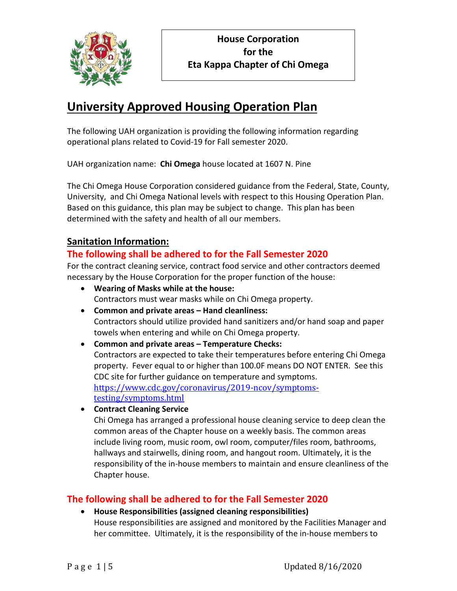

# **University Approved Housing Operation Plan**

The following UAH organization is providing the following information regarding operational plans related to Covid-19 for Fall semester 2020.

UAH organization name: **Chi Omega** house located at 1607 N. Pine

The Chi Omega House Corporation considered guidance from the Federal, State, County, University, and Chi Omega National levels with respect to this Housing Operation Plan. Based on this guidance, this plan may be subject to change. This plan has been determined with the safety and health of all our members.

# **Sanitation Information:**

# **The following shall be adhered to for the Fall Semester 2020**

For the contract cleaning service, contract food service and other contractors deemed necessary by the House Corporation for the proper function of the house:

- **Wearing of Masks while at the house:** Contractors must wear masks while on Chi Omega property.
- **Common and private areas – Hand cleanliness:** Contractors should utilize provided hand sanitizers and/or hand soap and paper towels when entering and while on Chi Omega property.
- **Common and private areas – Temperature Checks:** Contractors are expected to take their temperatures before entering Chi Omega property. Fever equal to or higher than 100.0F means DO NOT ENTER. See this CDC site for further guidance on temperature and symptoms. [https://www.cdc.gov/coronavirus/2019-ncov/symptoms](https://www.cdc.gov/coronavirus/2019-ncov/symptoms-testing/symptoms.html)[testing/symptoms.html](https://www.cdc.gov/coronavirus/2019-ncov/symptoms-testing/symptoms.html)
- **Contract Cleaning Service**

Chi Omega has arranged a professional house cleaning service to deep clean the common areas of the Chapter house on a weekly basis. The common areas include living room, music room, owl room, computer/files room, bathrooms, hallways and stairwells, dining room, and hangout room. Ultimately, it is the responsibility of the in-house members to maintain and ensure cleanliness of the Chapter house.

# **The following shall be adhered to for the Fall Semester 2020**

• **House Responsibilities (assigned cleaning responsibilities)** House responsibilities are assigned and monitored by the Facilities Manager and her committee. Ultimately, it is the responsibility of the in-house members to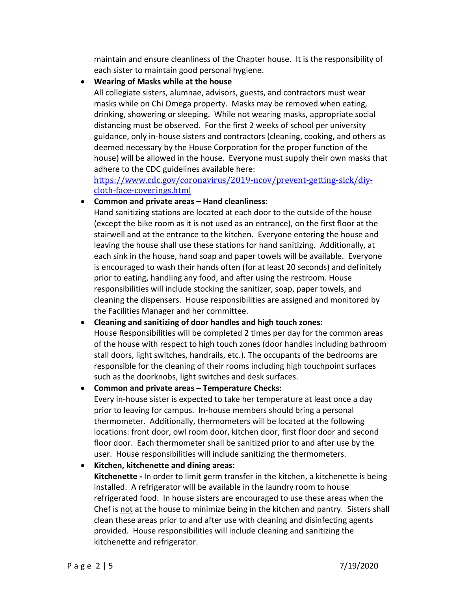maintain and ensure cleanliness of the Chapter house. It is the responsibility of each sister to maintain good personal hygiene.

### • **Wearing of Masks while at the house**

All collegiate sisters, alumnae, advisors, guests, and contractors must wear masks while on Chi Omega property. Masks may be removed when eating, drinking, showering or sleeping. While not wearing masks, appropriate social distancing must be observed. For the first 2 weeks of school per university guidance, only in-house sisters and contractors (cleaning, cooking, and others as deemed necessary by the House Corporation for the proper function of the house) will be allowed in the house. Everyone must supply their own masks that adhere to the CDC guidelines available here:

[https://www.cdc.gov/coronavirus/2019-ncov/prevent-getting-sick/diy](https://www.cdc.gov/coronavirus/2019-ncov/prevent-getting-sick/diy-cloth-face-coverings.html)[cloth-face-coverings.html](https://www.cdc.gov/coronavirus/2019-ncov/prevent-getting-sick/diy-cloth-face-coverings.html)

## • **Common and private areas – Hand cleanliness:**

Hand sanitizing stations are located at each door to the outside of the house (except the bike room as it is not used as an entrance), on the first floor at the stairwell and at the entrance to the kitchen. Everyone entering the house and leaving the house shall use these stations for hand sanitizing. Additionally, at each sink in the house, hand soap and paper towels will be available. Everyone is encouraged to wash their hands often (for at least 20 seconds) and definitely prior to eating, handling any food, and after using the restroom. House responsibilities will include stocking the sanitizer, soap, paper towels, and cleaning the dispensers. House responsibilities are assigned and monitored by the Facilities Manager and her committee.

## • **Cleaning and sanitizing of door handles and high touch zones:**

House Responsibilities will be completed 2 times per day for the common areas of the house with respect to high touch zones (door handles including bathroom stall doors, light switches, handrails, etc.). The occupants of the bedrooms are responsible for the cleaning of their rooms including high touchpoint surfaces such as the doorknobs, light switches and desk surfaces.

#### • **Common and private areas – Temperature Checks:**

Every in-house sister is expected to take her temperature at least once a day prior to leaving for campus. In-house members should bring a personal thermometer. Additionally, thermometers will be located at the following locations: front door, owl room door, kitchen door, first floor door and second floor door. Each thermometer shall be sanitized prior to and after use by the user. House responsibilities will include sanitizing the thermometers.

• **Kitchen, kitchenette and dining areas:**

**Kitchenette -** In order to limit germ transfer in the kitchen, a kitchenette is being installed. A refrigerator will be available in the laundry room to house refrigerated food. In house sisters are encouraged to use these areas when the Chef is not at the house to minimize being in the kitchen and pantry. Sisters shall clean these areas prior to and after use with cleaning and disinfecting agents provided. House responsibilities will include cleaning and sanitizing the kitchenette and refrigerator.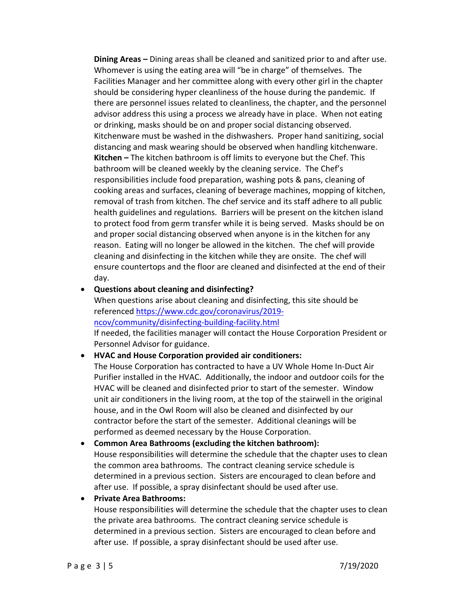**Dining Areas –** Dining areas shall be cleaned and sanitized prior to and after use. Whomever is using the eating area will "be in charge" of themselves. The Facilities Manager and her committee along with every other girl in the chapter should be considering hyper cleanliness of the house during the pandemic. If there are personnel issues related to cleanliness, the chapter, and the personnel advisor address this using a process we already have in place. When not eating or drinking, masks should be on and proper social distancing observed. Kitchenware must be washed in the dishwashers. Proper hand sanitizing, social distancing and mask wearing should be observed when handling kitchenware. **Kitchen –** The kitchen bathroom is off limits to everyone but the Chef. This bathroom will be cleaned weekly by the cleaning service. The Chef's responsibilities include food preparation, washing pots & pans, cleaning of cooking areas and surfaces, cleaning of beverage machines, mopping of kitchen, removal of trash from kitchen. The chef service and its staff adhere to all public health guidelines and regulations. Barriers will be present on the kitchen island to protect food from germ transfer while it is being served. Masks should be on and proper social distancing observed when anyone is in the kitchen for any reason. Eating will no longer be allowed in the kitchen. The chef will provide cleaning and disinfecting in the kitchen while they are onsite. The chef will ensure countertops and the floor are cleaned and disinfected at the end of their day.

#### • **Questions about cleaning and disinfecting?**

When questions arise about cleaning and disinfecting, this site should be referenced [https://www.cdc.gov/coronavirus/2019](https://www.cdc.gov/coronavirus/2019-ncov/community/disinfecting-building-facility.html) [ncov/community/disinfecting-building-facility.html](https://www.cdc.gov/coronavirus/2019-ncov/community/disinfecting-building-facility.html)

If needed, the facilities manager will contact the House Corporation President or Personnel Advisor for guidance.

#### • **HVAC and House Corporation provided air conditioners:**

The House Corporation has contracted to have a UV Whole Home In-Duct Air Purifier installed in the HVAC. Additionally, the indoor and outdoor coils for the HVAC will be cleaned and disinfected prior to start of the semester. Window unit air conditioners in the living room, at the top of the stairwell in the original house, and in the Owl Room will also be cleaned and disinfected by our contractor before the start of the semester. Additional cleanings will be performed as deemed necessary by the House Corporation.

## • **Common Area Bathrooms (excluding the kitchen bathroom):**  House responsibilities will determine the schedule that the chapter uses to clean the common area bathrooms. The contract cleaning service schedule is determined in a previous section. Sisters are encouraged to clean before and after use. If possible, a spray disinfectant should be used after use.

#### • **Private Area Bathrooms:**

House responsibilities will determine the schedule that the chapter uses to clean the private area bathrooms. The contract cleaning service schedule is determined in a previous section. Sisters are encouraged to clean before and after use. If possible, a spray disinfectant should be used after use.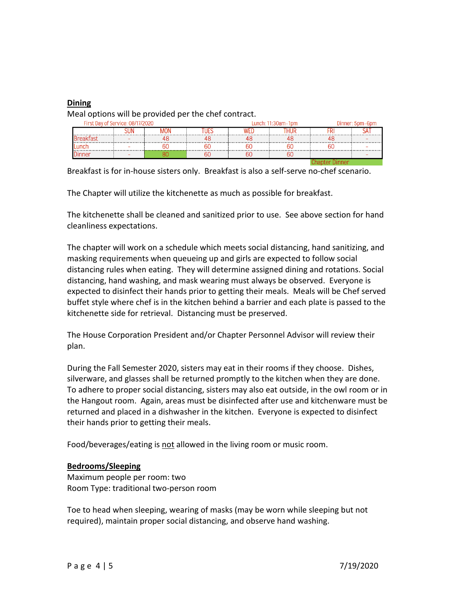#### **Dining**

Meal options will be provided per the chef contract.

| First Day of Service: 08/17/2020 |  |  |  |  | Lunch: $11:30$ am-1pm | Dinner: 5pm-6pm |  |
|----------------------------------|--|--|--|--|-----------------------|-----------------|--|
|                                  |  |  |  |  |                       |                 |  |
|                                  |  |  |  |  |                       |                 |  |
| inc                              |  |  |  |  |                       |                 |  |
| inne                             |  |  |  |  |                       |                 |  |
|                                  |  |  |  |  |                       |                 |  |

Breakfast is for in-house sisters only. Breakfast is also a self-serve no-chef scenario.

The Chapter will utilize the kitchenette as much as possible for breakfast.

The kitchenette shall be cleaned and sanitized prior to use. See above section for hand cleanliness expectations.

The chapter will work on a schedule which meets social distancing, hand sanitizing, and masking requirements when queueing up and girls are expected to follow social distancing rules when eating. They will determine assigned dining and rotations. Social distancing, hand washing, and mask wearing must always be observed. Everyone is expected to disinfect their hands prior to getting their meals. Meals will be Chef served buffet style where chef is in the kitchen behind a barrier and each plate is passed to the kitchenette side for retrieval. Distancing must be preserved.

The House Corporation President and/or Chapter Personnel Advisor will review their plan.

During the Fall Semester 2020, sisters may eat in their rooms if they choose. Dishes, silverware, and glasses shall be returned promptly to the kitchen when they are done. To adhere to proper social distancing, sisters may also eat outside, in the owl room or in the Hangout room. Again, areas must be disinfected after use and kitchenware must be returned and placed in a dishwasher in the kitchen. Everyone is expected to disinfect their hands prior to getting their meals.

Food/beverages/eating is not allowed in the living room or music room.

#### **Bedrooms/Sleeping**

Maximum people per room: two Room Type: traditional two-person room

Toe to head when sleeping, wearing of masks (may be worn while sleeping but not required), maintain proper social distancing, and observe hand washing.